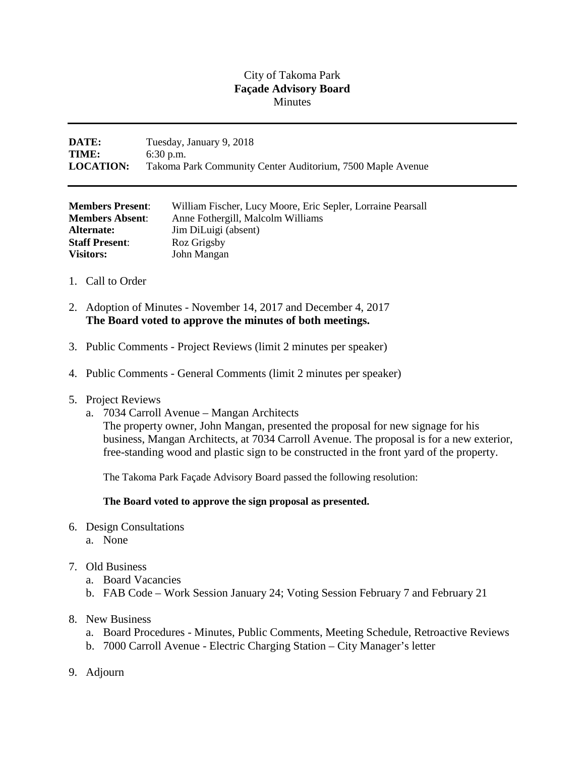## City of Takoma Park **Façade Advisory Board Minutes**

## **DATE:** Tuesday, January 9, 2018 **TIME:** 6:30 p.m. **LOCATION:** Takoma Park Community Center Auditorium, 7500 Maple Avenue

| <b>Members Present:</b> | William Fischer, Lucy Moore, Eric Sepler, Lorraine Pearsall |
|-------------------------|-------------------------------------------------------------|
| <b>Members Absent:</b>  | Anne Fothergill, Malcolm Williams                           |
| Alternate:              | Jim DiLuigi (absent)                                        |
| <b>Staff Present:</b>   | Roz Grigsby                                                 |
| <b>Visitors:</b>        | John Mangan                                                 |

- 1. Call to Order
- 2. Adoption of Minutes November 14, 2017 and December 4, 2017 **The Board voted to approve the minutes of both meetings.**
- 3. Public Comments Project Reviews (limit 2 minutes per speaker)
- 4. Public Comments General Comments (limit 2 minutes per speaker)
- 5. Project Reviews
	- a. 7034 Carroll Avenue Mangan Architects

The property owner, John Mangan, presented the proposal for new signage for his business, Mangan Architects, at 7034 Carroll Avenue. The proposal is for a new exterior, free-standing wood and plastic sign to be constructed in the front yard of the property.

The Takoma Park Façade Advisory Board passed the following resolution:

## **The Board voted to approve the sign proposal as presented.**

- 6. Design Consultations
	- a. None

## 7. Old Business

- a. Board Vacancies
- b. FAB Code Work Session January 24; Voting Session February 7 and February 21
- 8. New Business
	- a. Board Procedures Minutes, Public Comments, Meeting Schedule, Retroactive Reviews
	- b. 7000 Carroll Avenue Electric Charging Station City Manager's letter
- 9. Adjourn